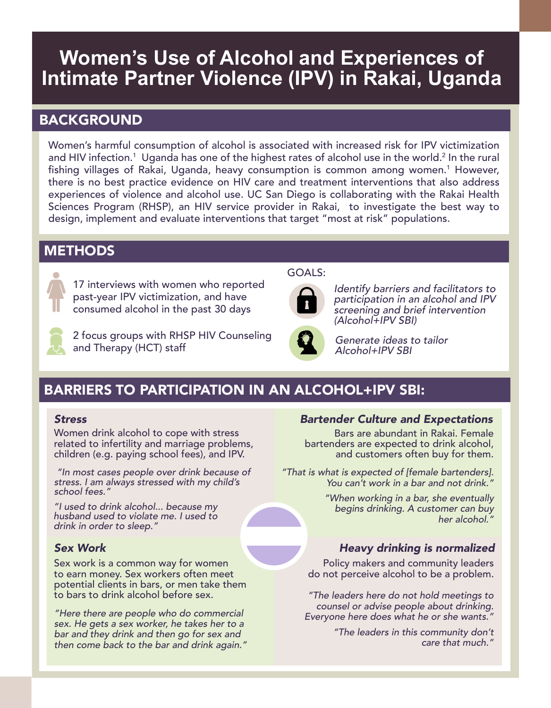# **Women's Use of Alcohol and Experiences of Intimate Partner Violence (IPV) in Rakai, Uganda**

## BACKGROUND

Women's harmful consumption of alcohol is associated with increased risk for IPV victimization and HIV infection.<sup>1</sup> Uganda has one of the highest rates of alcohol use in the world.<sup>2</sup> In the rural fishing villages of Rakai, Uganda, heavy consumption is common among women.<sup>1</sup> However, there is no best practice evidence on HIV care and treatment interventions that also address experiences of violence and alcohol use. UC San Diego is collaborating with the Rakai Health Sciences Program (RHSP), an HIV service provider in Rakai, to investigate the best way to design, implement and evaluate interventions that target "most at risk" populations.

## **METHODS**



17 interviews with women who reported past-year IPV victimization, and have consumed alcohol in the past 30 days



2 focus groups with RHSP HIV Counseling and Therapy (HCT) staff

### GOALS:



Identify barriers and facilitators to participation in an alcohol and IPV screening and brief intervention (Alcohol+IPV SBI)



Generate ideas to tailor Alcohol+IPV SBI

## BARRIERS TO PARTICIPATION IN AN ALCOHOL+IPV SBI:

Women drink alcohol to cope with stress related to infertility and marriage problems, children (e.g. paying school fees), and IPV.

 "In most cases people over drink because of stress. I am always stressed with my child's school fees."

"I used to drink alcohol... because my husband used to violate me. I used to drink in order to sleep."

Sex work is a common way for women to earn money. Sex workers often meet potential clients in bars, or men take them to bars to drink alcohol before sex.

"Here there are people who do commercial sex. He gets a sex worker, he takes her to a bar and they drink and then go for sex and then come back to the bar and drink again."

### *Stress Bartender Culture and Expectations*

Bars are abundant in Rakai. Female bartenders are expected to drink alcohol, and customers often buy for them.

"That is what is expected of [female bartenders]. You can't work in a bar and not drink."

> "When working in a bar, she eventually begins drinking. A customer can buy her alcohol."

## *Sex Work Heavy drinking is normalized*

 Policy makers and community leaders do not perceive alcohol to be a problem.

"The leaders here do not hold meetings to counsel or advise people about drinking. Everyone here does what he or she wants."

> "The leaders in this community don't care that much."